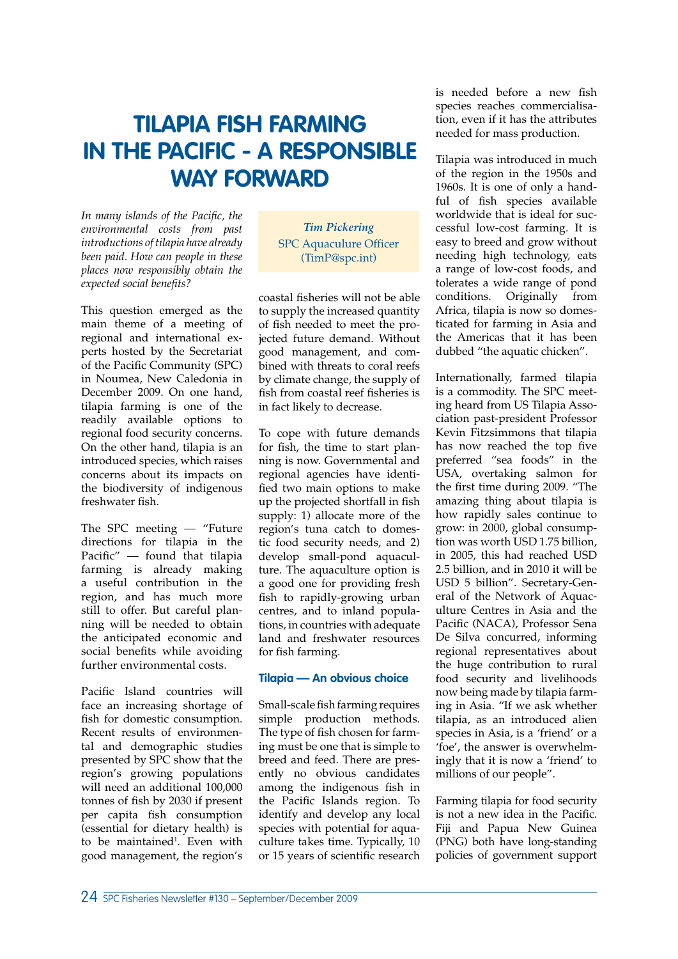# **TILAPIA FISH FARMING IN THE PACIFIC - A RESPONSIBLE WAY FORWARD**

In many islands of the Pacific, the *environmental costs from past introductions of tilapia have already been paid. How can people in these places now responsibly obtain the*   $expected$  social benefits?

This question emerged as the main theme of a meeting of regional and international experts hosted by the Secretariat of the Pacific Community (SPC) in Noumea, New Caledonia in December 2009. On one hand, tilapia farming is one of the readily available options to regional food security concerns. On the other hand, tilapia is an introduced species, which raises concerns about its impacts on the biodiversity of indigenous freshwater fish.

The SPC meeting — "Future directions for tilapia in the Pacific"  $-$  found that tilapia farming is already making a useful contribution in the region, and has much more still to offer. But careful planning will be needed to obtain the anticipated economic and social benefits while avoiding further environmental costs.

Pacific Island countries will face an increasing shortage of fish for domestic consumption. Recent results of environmental and demographic studies presented by SPC show that the region's growing populations will need an additional 100,000 tonnes of fish by 2030 if present per capita fish consumption (essential for dietary health) is to be maintained<sup>1</sup>. Even with good management, the region's

*Tim Pickering* SPC Aquaculure Officer (TimP@spc.int)

coastal fisheries will not be able to supply the increased quantity of fish needed to meet the projected future demand. Without good management, and combined with threats to coral reefs by climate change, the supply of fish from coastal reef fisheries is in fact likely to decrease.

To cope with future demands for fish, the time to start planning is now. Governmental and regional agencies have identified two main options to make up the projected shortfall in fish supply: 1) allocate more of the region's tuna catch to domestic food security needs, and 2) develop small-pond aquaculture. The aquaculture option is a good one for providing fresh fish to rapidly-growing urban centres, and to inland populations, in countries with adequate land and freshwater resources for fish farming.

# **Tilapia — An obvious choice**

Small-scale fish farming requires simple production methods. The type of fish chosen for farming must be one that is simple to breed and feed. There are presently no obvious candidates among the indigenous fish in the Pacific Islands region. To identify and develop any local species with potential for aquaculture takes time. Typically, 10 or 15 years of scientific research is needed before a new fish species reaches commercialisation, even if it has the attributes needed for mass production.

Tilapia was introduced in much of the region in the 1950s and 1960s. It is one of only a handful of fish species available worldwide that is ideal for successful low-cost farming. It is easy to breed and grow without needing high technology, eats a range of low-cost foods, and tolerates a wide range of pond conditions. Originally from Africa, tilapia is now so domesticated for farming in Asia and the Americas that it has been dubbed "the aquatic chicken".

Internationally, farmed tilapia is a commodity. The SPC meeting heard from US Tilapia Association past-president Professor Kevin Fitzsimmons that tilapia has now reached the top five preferred "sea foods" in the USA, overtaking salmon for the first time during 2009. "The amazing thing about tilapia is how rapidly sales continue to grow: in 2000, global consumption was worth USD 1.75 billion, in 2005, this had reached USD 2.5 billion, and in 2010 it will be USD 5 billion". Secretary-General of the Network of Aquaculture Centres in Asia and the Pacific (NACA), Professor Sena De Silva concurred, informing regional representatives about the huge contribution to rural food security and livelihoods now being made by tilapia farming in Asia. "If we ask whether tilapia, as an introduced alien species in Asia, is a 'friend' or a 'foe', the answer is overwhelmingly that it is now a 'friend' to millions of our people".

Farming tilapia for food security is not a new idea in the Pacific. Fiji and Papua New Guinea (PNG) both have long-standing policies of government support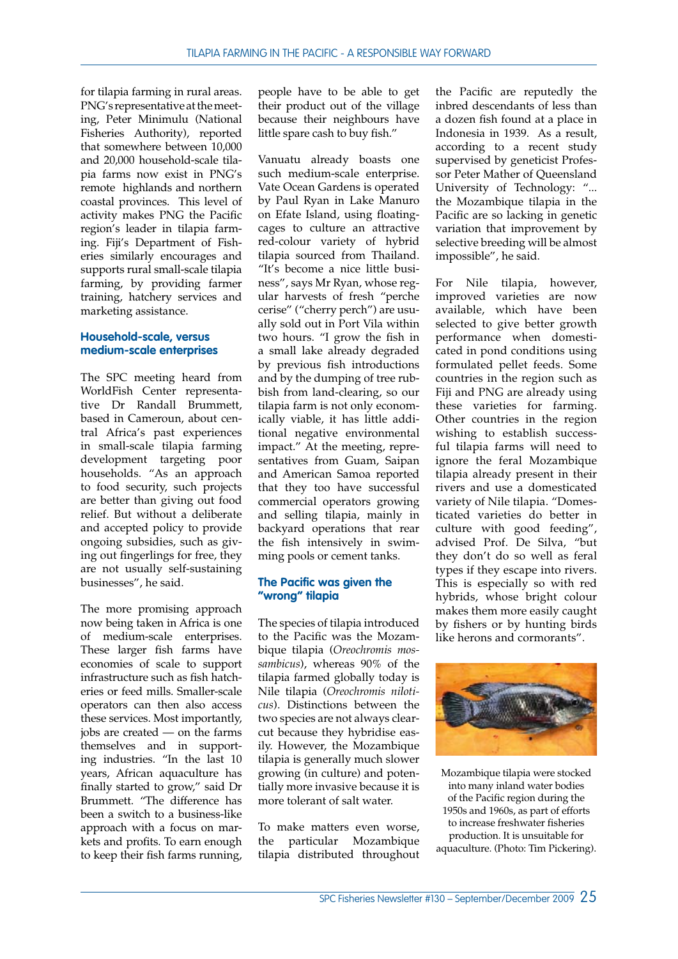for tilapia farming in rural areas. PNG's representative at the meeting, Peter Minimulu (National Fisheries Authority), reported that somewhere between 10,000 and 20,000 household-scale tilapia farms now exist in PNG's remote highlands and northern coastal provinces. This level of activity makes PNG the Pacific region's leader in tilapia farming. Fiji's Department of Fisheries similarly encourages and supports rural small-scale tilapia farming, by providing farmer training, hatchery services and marketing assistance.

#### **Household-scale, versus medium-scale enterprises**

The SPC meeting heard from WorldFish Center representative Dr Randall Brummett, based in Cameroun, about central Africa's past experiences in small-scale tilapia farming development targeting poor households. "As an approach to food security, such projects are better than giving out food relief. But without a deliberate and accepted policy to provide ongoing subsidies, such as giving out fingerlings for free, they are not usually self-sustaining businesses", he said.

The more promising approach now being taken in Africa is one of medium-scale enterprises. These larger fish farms have economies of scale to support infrastructure such as fish hatcheries or feed mills. Smaller-scale operators can then also access these services. Most importantly, jobs are created — on the farms themselves and in supporting industries. "In the last 10 years, African aquaculture has finally started to grow," said Dr Brummett. "The difference has been a switch to a business-like approach with a focus on markets and profits. To earn enough to keep their fish farms running,

people have to be able to get their product out of the village because their neighbours have little spare cash to buy fish."

Vanuatu already boasts one such medium-scale enterprise. Vate Ocean Gardens is operated by Paul Ryan in Lake Manuro on Efate Island, using floatingcages to culture an attractive red-colour variety of hybrid tilapia sourced from Thailand. "It's become a nice little business", says Mr Ryan, whose regular harvests of fresh "perche cerise" ("cherry perch") are usually sold out in Port Vila within two hours. "I grow the fish in a small lake already degraded by previous fish introductions and by the dumping of tree rubbish from land-clearing, so our tilapia farm is not only economically viable, it has little additional negative environmental impact." At the meeting, representatives from Guam, Saipan and American Samoa reported that they too have successful commercial operators growing and selling tilapia, mainly in backyard operations that rear the fish intensively in swimming pools or cement tanks.

## **The Pacific was given the "wrong" tilapia**

The species of tilapia introduced to the Pacific was the Mozambique tilapia (*Oreochromis mossambicus*), whereas 90% of the tilapia farmed globally today is Nile tilapia (*Oreochromis niloticus*). Distinctions between the two species are not always clearcut because they hybridise easily. However, the Mozambique tilapia is generally much slower growing (in culture) and potentially more invasive because it is more tolerant of salt water.

To make matters even worse, the particular Mozambique tilapia distributed throughout the Pacific are reputedly the inbred descendants of less than a dozen fish found at a place in Indonesia in 1939. As a result, according to a recent study supervised by geneticist Professor Peter Mather of Queensland University of Technology: "... the Mozambique tilapia in the Pacific are so lacking in genetic variation that improvement by selective breeding will be almost impossible", he said.

For Nile tilapia, however, improved varieties are now available, which have been selected to give better growth performance when domesticated in pond conditions using formulated pellet feeds. Some countries in the region such as Fiji and PNG are already using these varieties for farming. Other countries in the region wishing to establish successful tilapia farms will need to ignore the feral Mozambique tilapia already present in their rivers and use a domesticated variety of Nile tilapia. "Domesticated varieties do better in culture with good feeding", advised Prof. De Silva, "but they don't do so well as feral types if they escape into rivers. This is especially so with red hybrids, whose bright colour makes them more easily caught by fishers or by hunting birds like herons and cormorants".



Mozambique tilapia were stocked into many inland water bodies of the Pacific region during the 1950s and 1960s, as part of efforts to increase freshwater fisheries production. It is unsuitable for aquaculture. (Photo: Tim Pickering).